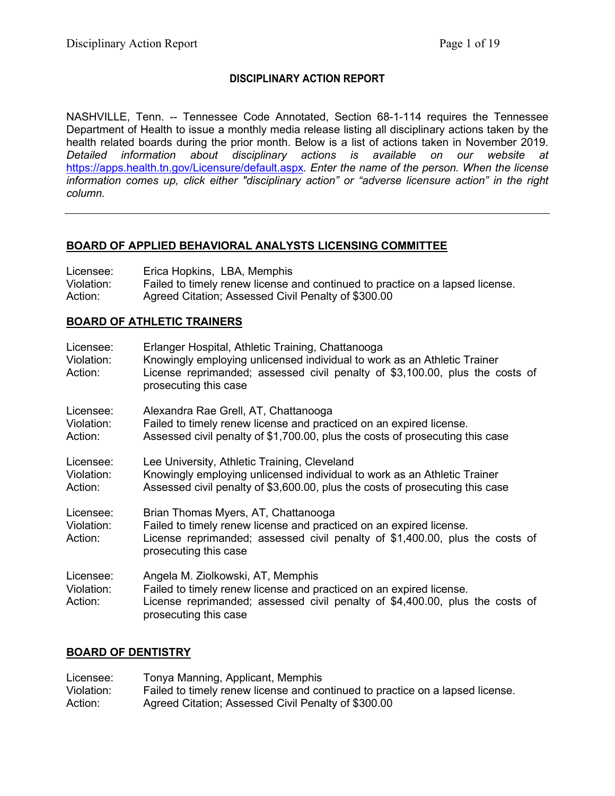# **DISCIPLINARY ACTION REPORT**

NASHVILLE, Tenn. -- Tennessee Code Annotated, Section 68-1-114 requires the Tennessee Department of Health to issue a monthly media release listing all disciplinary actions taken by the health related boards during the prior month. Below is a list of actions taken in November 2019. *Detailed information about disciplinary actions is available on our website at*  <https://apps.health.tn.gov/Licensure/default.aspx>*. Enter the name of the person. When the license information comes up, click either "disciplinary action" or "adverse licensure action" in the right column.*

## **BOARD OF APPLIED BEHAVIORAL ANALYSTS LICENSING COMMITTEE**

| Licensee:  | Erica Hopkins, LBA, Memphis                                                   |
|------------|-------------------------------------------------------------------------------|
| Violation: | Failed to timely renew license and continued to practice on a lapsed license. |
| Action:    | Agreed Citation; Assessed Civil Penalty of \$300.00                           |

## **BOARD OF ATHLETIC TRAINERS**

| Licensee:<br>Violation:<br>Action: | Erlanger Hospital, Athletic Training, Chattanooga<br>Knowingly employing unlicensed individual to work as an Athletic Trainer<br>License reprimanded; assessed civil penalty of \$3,100.00, plus the costs of<br>prosecuting this case |
|------------------------------------|----------------------------------------------------------------------------------------------------------------------------------------------------------------------------------------------------------------------------------------|
| Licensee:<br>Violation:<br>Action: | Alexandra Rae Grell, AT, Chattanooga<br>Failed to timely renew license and practiced on an expired license.<br>Assessed civil penalty of \$1,700.00, plus the costs of prosecuting this case                                           |
| Licensee:<br>Violation:<br>Action: | Lee University, Athletic Training, Cleveland<br>Knowingly employing unlicensed individual to work as an Athletic Trainer<br>Assessed civil penalty of \$3,600.00, plus the costs of prosecuting this case                              |
| Licensee:<br>Violation:<br>Action: | Brian Thomas Myers, AT, Chattanooga<br>Failed to timely renew license and practiced on an expired license.<br>License reprimanded; assessed civil penalty of \$1,400.00, plus the costs of<br>prosecuting this case                    |
| Licensee:<br>Violation:<br>Action: | Angela M. Ziolkowski, AT, Memphis<br>Failed to timely renew license and practiced on an expired license.<br>License reprimanded; assessed civil penalty of \$4,400.00, plus the costs of<br>prosecuting this case                      |

## **BOARD OF DENTISTRY**

| Licensee:  | Tonya Manning, Applicant, Memphis                                             |
|------------|-------------------------------------------------------------------------------|
| Violation: | Failed to timely renew license and continued to practice on a lapsed license. |
| Action:    | Agreed Citation; Assessed Civil Penalty of \$300.00                           |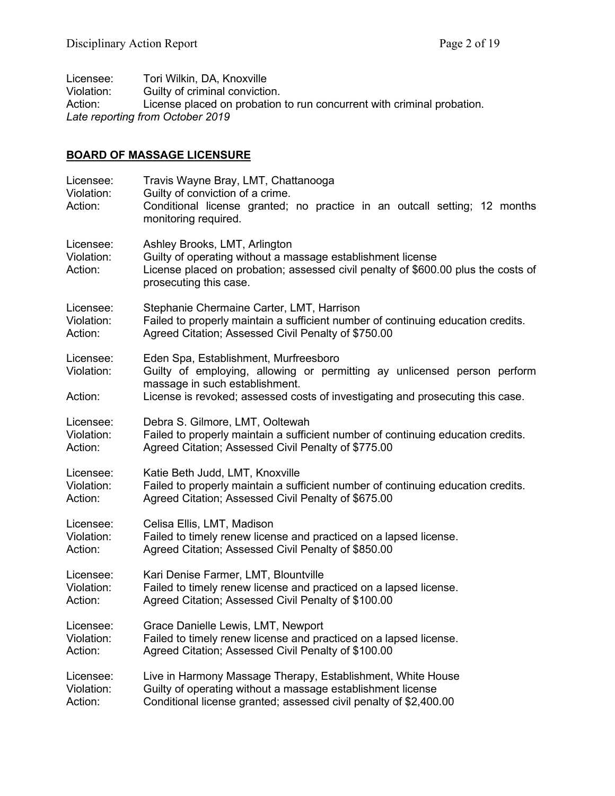| Licensee:  | Tori Wilkin, DA, Knoxville                                             |
|------------|------------------------------------------------------------------------|
| Violation: | Guilty of criminal conviction.                                         |
| Action:    | License placed on probation to run concurrent with criminal probation. |
|            | Late reporting from October 2019                                       |

# **BOARD OF MASSAGE LICENSURE**

| Licensee:<br>Violation:<br>Action: | Travis Wayne Bray, LMT, Chattanooga<br>Guilty of conviction of a crime.<br>Conditional license granted; no practice in an outcall setting; 12 months<br>monitoring required.                                                          |
|------------------------------------|---------------------------------------------------------------------------------------------------------------------------------------------------------------------------------------------------------------------------------------|
| Licensee:<br>Violation:<br>Action: | Ashley Brooks, LMT, Arlington<br>Guilty of operating without a massage establishment license<br>License placed on probation; assessed civil penalty of \$600.00 plus the costs of<br>prosecuting this case.                           |
| Licensee:                          | Stephanie Chermaine Carter, LMT, Harrison                                                                                                                                                                                             |
| Violation:                         | Failed to properly maintain a sufficient number of continuing education credits.                                                                                                                                                      |
| Action:                            | Agreed Citation; Assessed Civil Penalty of \$750.00                                                                                                                                                                                   |
| Licensee:<br>Violation:<br>Action: | Eden Spa, Establishment, Murfreesboro<br>Guilty of employing, allowing or permitting ay unlicensed person perform<br>massage in such establishment.<br>License is revoked; assessed costs of investigating and prosecuting this case. |
| Licensee:                          | Debra S. Gilmore, LMT, Ooltewah                                                                                                                                                                                                       |
| Violation:                         | Failed to properly maintain a sufficient number of continuing education credits.                                                                                                                                                      |
| Action:                            | Agreed Citation; Assessed Civil Penalty of \$775.00                                                                                                                                                                                   |
| Licensee:                          | Katie Beth Judd, LMT, Knoxville                                                                                                                                                                                                       |
| Violation:                         | Failed to properly maintain a sufficient number of continuing education credits.                                                                                                                                                      |
| Action:                            | Agreed Citation; Assessed Civil Penalty of \$675.00                                                                                                                                                                                   |
| Licensee:                          | Celisa Ellis, LMT, Madison                                                                                                                                                                                                            |
| Violation:                         | Failed to timely renew license and practiced on a lapsed license.                                                                                                                                                                     |
| Action:                            | Agreed Citation; Assessed Civil Penalty of \$850.00                                                                                                                                                                                   |
| Licensee:                          | Kari Denise Farmer, LMT, Blountville                                                                                                                                                                                                  |
| Violation:                         | Failed to timely renew license and practiced on a lapsed license.                                                                                                                                                                     |
| Action:                            | Agreed Citation; Assessed Civil Penalty of \$100.00                                                                                                                                                                                   |
| Licensee:                          | Grace Danielle Lewis, LMT, Newport                                                                                                                                                                                                    |
| Violation:                         | Failed to timely renew license and practiced on a lapsed license.                                                                                                                                                                     |
| Action:                            | Agreed Citation; Assessed Civil Penalty of \$100.00                                                                                                                                                                                   |
| Licensee:                          | Live in Harmony Massage Therapy, Establishment, White House                                                                                                                                                                           |
| Violation:                         | Guilty of operating without a massage establishment license                                                                                                                                                                           |
| Action:                            | Conditional license granted; assessed civil penalty of \$2,400.00                                                                                                                                                                     |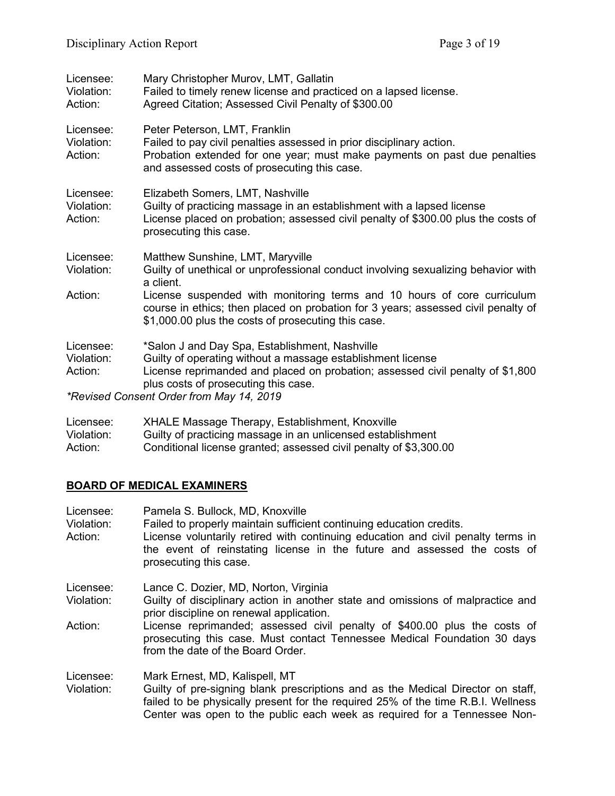| Licensee:<br>Violation:<br>Action: | Mary Christopher Murov, LMT, Gallatin<br>Failed to timely renew license and practiced on a lapsed license.<br>Agreed Citation; Assessed Civil Penalty of \$300.00                                                                                                                   |
|------------------------------------|-------------------------------------------------------------------------------------------------------------------------------------------------------------------------------------------------------------------------------------------------------------------------------------|
| Licensee:<br>Violation:<br>Action: | Peter Peterson, LMT, Franklin<br>Failed to pay civil penalties assessed in prior disciplinary action.<br>Probation extended for one year; must make payments on past due penalties<br>and assessed costs of prosecuting this case.                                                  |
| Licensee:<br>Violation:<br>Action: | Elizabeth Somers, LMT, Nashville<br>Guilty of practicing massage in an establishment with a lapsed license<br>License placed on probation; assessed civil penalty of \$300.00 plus the costs of<br>prosecuting this case.                                                           |
| Licensee:<br>Violation:            | Matthew Sunshine, LMT, Maryville<br>Guilty of unethical or unprofessional conduct involving sexualizing behavior with<br>a client.                                                                                                                                                  |
| Action:                            | License suspended with monitoring terms and 10 hours of core curriculum<br>course in ethics; then placed on probation for 3 years; assessed civil penalty of<br>\$1,000.00 plus the costs of prosecuting this case.                                                                 |
| Licensee:<br>Violation:<br>Action: | *Salon J and Day Spa, Establishment, Nashville<br>Guilty of operating without a massage establishment license<br>License reprimanded and placed on probation; assessed civil penalty of \$1,800<br>plus costs of prosecuting this case.<br>*Revised Consent Order from May 14, 2019 |
|                                    |                                                                                                                                                                                                                                                                                     |

| Licensee:  | XHALE Massage Therapy, Establishment, Knoxville                   |
|------------|-------------------------------------------------------------------|
| Violation: | Guilty of practicing massage in an unlicensed establishment       |
| Action:    | Conditional license granted; assessed civil penalty of \$3,300.00 |

# **BOARD OF MEDICAL EXAMINERS**

| Pamela S. Bullock, MD, Knoxville<br>Failed to properly maintain sufficient continuing education credits.<br>License voluntarily retired with continuing education and civil penalty terms in<br>the event of reinstating license in the future and assessed the costs of<br>prosecuting this case. |
|----------------------------------------------------------------------------------------------------------------------------------------------------------------------------------------------------------------------------------------------------------------------------------------------------|
| Lance C. Dozier, MD, Norton, Virginia                                                                                                                                                                                                                                                              |
| Guilty of disciplinary action in another state and omissions of malpractice and<br>prior discipline on renewal application.                                                                                                                                                                        |
| License reprimanded; assessed civil penalty of \$400.00 plus the costs of<br>prosecuting this case. Must contact Tennessee Medical Foundation 30 days<br>from the date of the Board Order.                                                                                                         |
| Mark Ernest, MD, Kalispell, MT                                                                                                                                                                                                                                                                     |
| Guilty of pre-signing blank prescriptions and as the Medical Director on staff,<br>failed to be physically present for the required 25% of the time R.B.I. Wellness<br>Center was open to the public each week as required for a Tennessee Non-                                                    |
|                                                                                                                                                                                                                                                                                                    |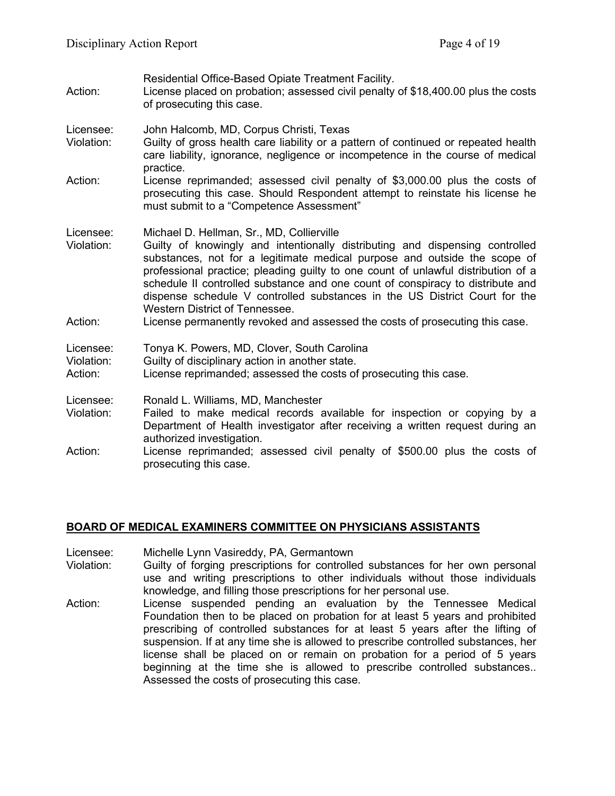| Action:                            | Residential Office-Based Opiate Treatment Facility.<br>License placed on probation; assessed civil penalty of \$18,400.00 plus the costs<br>of prosecuting this case.                                                                                                                                                                                                                                                                                                                                                                                                         |
|------------------------------------|-------------------------------------------------------------------------------------------------------------------------------------------------------------------------------------------------------------------------------------------------------------------------------------------------------------------------------------------------------------------------------------------------------------------------------------------------------------------------------------------------------------------------------------------------------------------------------|
| Licensee:<br>Violation:            | John Halcomb, MD, Corpus Christi, Texas<br>Guilty of gross health care liability or a pattern of continued or repeated health<br>care liability, ignorance, negligence or incompetence in the course of medical                                                                                                                                                                                                                                                                                                                                                               |
| Action:                            | practice.<br>License reprimanded; assessed civil penalty of \$3,000.00 plus the costs of<br>prosecuting this case. Should Respondent attempt to reinstate his license he<br>must submit to a "Competence Assessment"                                                                                                                                                                                                                                                                                                                                                          |
| Licensee:<br>Violation:<br>Action: | Michael D. Hellman, Sr., MD, Collierville<br>Guilty of knowingly and intentionally distributing and dispensing controlled<br>substances, not for a legitimate medical purpose and outside the scope of<br>professional practice; pleading guilty to one count of unlawful distribution of a<br>schedule II controlled substance and one count of conspiracy to distribute and<br>dispense schedule V controlled substances in the US District Court for the<br>Western District of Tennessee.<br>License permanently revoked and assessed the costs of prosecuting this case. |
| Licensee:<br>Violation:<br>Action: | Tonya K. Powers, MD, Clover, South Carolina<br>Guilty of disciplinary action in another state.<br>License reprimanded; assessed the costs of prosecuting this case.                                                                                                                                                                                                                                                                                                                                                                                                           |
| Licensee:<br>Violation:            | Ronald L. Williams, MD, Manchester<br>Failed to make medical records available for inspection or copying by a<br>Department of Health investigator after receiving a written request during an<br>authorized investigation.                                                                                                                                                                                                                                                                                                                                                   |
| Action:                            | License reprimanded; assessed civil penalty of \$500.00 plus the costs of<br>prosecuting this case.                                                                                                                                                                                                                                                                                                                                                                                                                                                                           |

## **BOARD OF MEDICAL EXAMINERS COMMITTEE ON PHYSICIANS ASSISTANTS**

- Licensee: Michelle Lynn Vasireddy, PA, Germantown
- Guilty of forging prescriptions for controlled substances for her own personal use and writing prescriptions to other individuals without those individuals knowledge, and filling those prescriptions for her personal use.
- Action: License suspended pending an evaluation by the Tennessee Medical Foundation then to be placed on probation for at least 5 years and prohibited prescribing of controlled substances for at least 5 years after the lifting of suspension. If at any time she is allowed to prescribe controlled substances, her license shall be placed on or remain on probation for a period of 5 years beginning at the time she is allowed to prescribe controlled substances.. Assessed the costs of prosecuting this case.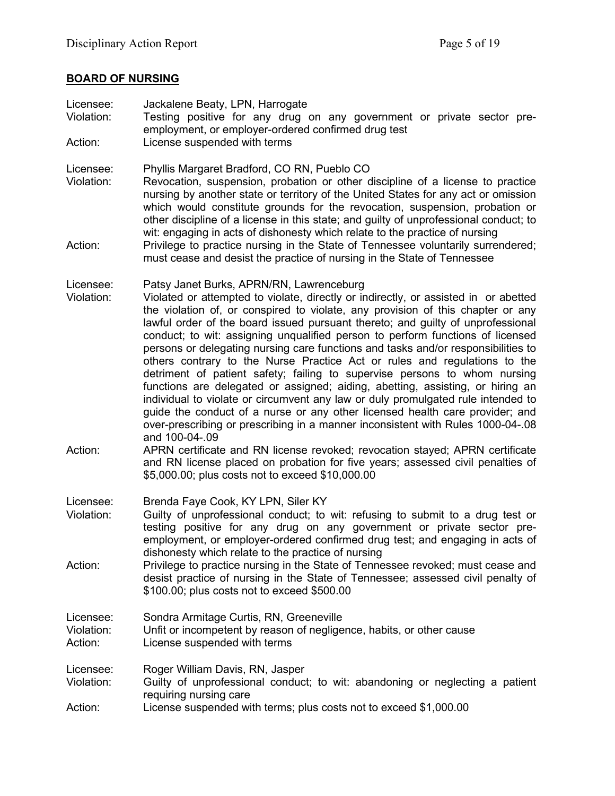# **BOARD OF NURSING**

| Licensee:<br>Violation:            | Jackalene Beaty, LPN, Harrogate<br>Testing positive for any drug on any government or private sector pre-<br>employment, or employer-ordered confirmed drug test                                                                                                                                                                                                                                                                                                                                                                                                                                                                                                                                                                                                                                                                                                                                                                                                                                  |
|------------------------------------|---------------------------------------------------------------------------------------------------------------------------------------------------------------------------------------------------------------------------------------------------------------------------------------------------------------------------------------------------------------------------------------------------------------------------------------------------------------------------------------------------------------------------------------------------------------------------------------------------------------------------------------------------------------------------------------------------------------------------------------------------------------------------------------------------------------------------------------------------------------------------------------------------------------------------------------------------------------------------------------------------|
| Action:                            | License suspended with terms                                                                                                                                                                                                                                                                                                                                                                                                                                                                                                                                                                                                                                                                                                                                                                                                                                                                                                                                                                      |
| Licensee:<br>Violation:            | Phyllis Margaret Bradford, CO RN, Pueblo CO<br>Revocation, suspension, probation or other discipline of a license to practice<br>nursing by another state or territory of the United States for any act or omission<br>which would constitute grounds for the revocation, suspension, probation or<br>other discipline of a license in this state; and guilty of unprofessional conduct; to<br>wit: engaging in acts of dishonesty which relate to the practice of nursing                                                                                                                                                                                                                                                                                                                                                                                                                                                                                                                        |
| Action:                            | Privilege to practice nursing in the State of Tennessee voluntarily surrendered;<br>must cease and desist the practice of nursing in the State of Tennessee                                                                                                                                                                                                                                                                                                                                                                                                                                                                                                                                                                                                                                                                                                                                                                                                                                       |
| Licensee:<br>Violation:            | Patsy Janet Burks, APRN/RN, Lawrenceburg<br>Violated or attempted to violate, directly or indirectly, or assisted in or abetted<br>the violation of, or conspired to violate, any provision of this chapter or any<br>lawful order of the board issued pursuant thereto; and guilty of unprofessional<br>conduct; to wit: assigning unqualified person to perform functions of licensed<br>persons or delegating nursing care functions and tasks and/or responsibilities to<br>others contrary to the Nurse Practice Act or rules and regulations to the<br>detriment of patient safety; failing to supervise persons to whom nursing<br>functions are delegated or assigned; aiding, abetting, assisting, or hiring an<br>individual to violate or circumvent any law or duly promulgated rule intended to<br>guide the conduct of a nurse or any other licensed health care provider; and<br>over-prescribing or prescribing in a manner inconsistent with Rules 1000-04-.08<br>and 100-04-.09 |
| Action:                            | APRN certificate and RN license revoked; revocation stayed; APRN certificate<br>and RN license placed on probation for five years; assessed civil penalties of<br>\$5,000.00; plus costs not to exceed \$10,000.00                                                                                                                                                                                                                                                                                                                                                                                                                                                                                                                                                                                                                                                                                                                                                                                |
| Licensee:<br>Violation:            | Brenda Faye Cook, KY LPN, Siler KY<br>Guilty of unprofessional conduct; to wit: refusing to submit to a drug test or<br>testing positive for any drug on any government or private sector pre-<br>employment, or employer-ordered confirmed drug test; and engaging in acts of<br>dishonesty which relate to the practice of nursing                                                                                                                                                                                                                                                                                                                                                                                                                                                                                                                                                                                                                                                              |
| Action:                            | Privilege to practice nursing in the State of Tennessee revoked; must cease and<br>desist practice of nursing in the State of Tennessee; assessed civil penalty of<br>\$100.00; plus costs not to exceed \$500.00                                                                                                                                                                                                                                                                                                                                                                                                                                                                                                                                                                                                                                                                                                                                                                                 |
| Licensee:<br>Violation:<br>Action: | Sondra Armitage Curtis, RN, Greeneville<br>Unfit or incompetent by reason of negligence, habits, or other cause<br>License suspended with terms                                                                                                                                                                                                                                                                                                                                                                                                                                                                                                                                                                                                                                                                                                                                                                                                                                                   |
| Licensee:<br>Violation:<br>Action: | Roger William Davis, RN, Jasper<br>Guilty of unprofessional conduct; to wit: abandoning or neglecting a patient<br>requiring nursing care<br>License suspended with terms; plus costs not to exceed \$1,000.00                                                                                                                                                                                                                                                                                                                                                                                                                                                                                                                                                                                                                                                                                                                                                                                    |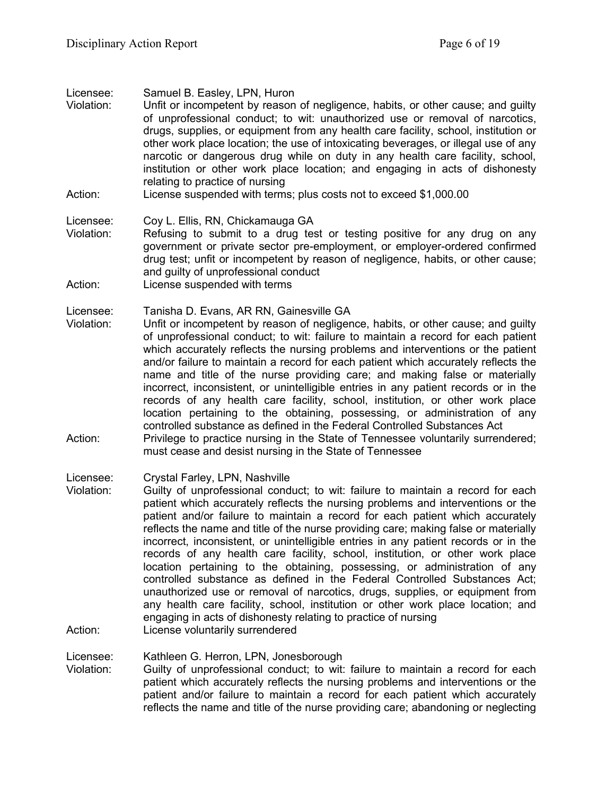Licensee: Samuel B. Easley, LPN, Huron

- Violation: Unfit or incompetent by reason of negligence, habits, or other cause; and guilty of unprofessional conduct; to wit: unauthorized use or removal of narcotics, drugs, supplies, or equipment from any health care facility, school, institution or other work place location; the use of intoxicating beverages, or illegal use of any narcotic or dangerous drug while on duty in any health care facility, school, institution or other work place location; and engaging in acts of dishonesty relating to practice of nursing
- Action: License suspended with terms; plus costs not to exceed \$1,000.00

Licensee: Coy L. Ellis, RN, Chickamauga GA

- Violation: Refusing to submit to a drug test or testing positive for any drug on any government or private sector pre-employment, or employer-ordered confirmed drug test; unfit or incompetent by reason of negligence, habits, or other cause; and guilty of unprofessional conduct
- Action: License suspended with terms

Licensee: Tanisha D. Evans, AR RN, Gainesville GA

- Violation: Unfit or incompetent by reason of negligence, habits, or other cause; and guilty of unprofessional conduct; to wit: failure to maintain a record for each patient which accurately reflects the nursing problems and interventions or the patient and/or failure to maintain a record for each patient which accurately reflects the name and title of the nurse providing care; and making false or materially incorrect, inconsistent, or unintelligible entries in any patient records or in the records of any health care facility, school, institution, or other work place location pertaining to the obtaining, possessing, or administration of any controlled substance as defined in the Federal Controlled Substances Act
- Action: Privilege to practice nursing in the State of Tennessee voluntarily surrendered; must cease and desist nursing in the State of Tennessee

Licensee: Crystal Farley, LPN, Nashville

Violation: Guilty of unprofessional conduct; to wit: failure to maintain a record for each patient which accurately reflects the nursing problems and interventions or the patient and/or failure to maintain a record for each patient which accurately reflects the name and title of the nurse providing care; making false or materially incorrect, inconsistent, or unintelligible entries in any patient records or in the records of any health care facility, school, institution, or other work place location pertaining to the obtaining, possessing, or administration of any controlled substance as defined in the Federal Controlled Substances Act; unauthorized use or removal of narcotics, drugs, supplies, or equipment from any health care facility, school, institution or other work place location; and engaging in acts of dishonesty relating to practice of nursing Action: License voluntarily surrendered

Licensee: Kathleen G. Herron, LPN, Jonesborough

Violation: Guilty of unprofessional conduct; to wit: failure to maintain a record for each patient which accurately reflects the nursing problems and interventions or the patient and/or failure to maintain a record for each patient which accurately reflects the name and title of the nurse providing care; abandoning or neglecting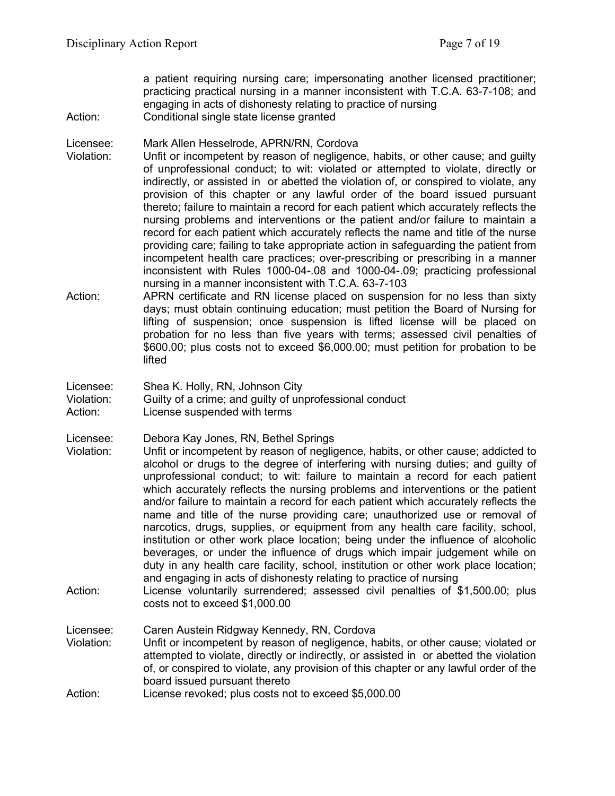a patient requiring nursing care; impersonating another licensed practitioner; practicing practical nursing in a manner inconsistent with T.C.A. 63-7-108; and engaging in acts of dishonesty relating to practice of nursing Action: Conditional single state license granted

Licensee: Mark Allen Hesselrode, APRN/RN, Cordova<br>Violation: Unfit or incompetent by reason of negligenc

- Unfit or incompetent by reason of negligence, habits, or other cause; and guilty of unprofessional conduct; to wit: violated or attempted to violate, directly or indirectly, or assisted in or abetted the violation of, or conspired to violate, any provision of this chapter or any lawful order of the board issued pursuant thereto; failure to maintain a record for each patient which accurately reflects the nursing problems and interventions or the patient and/or failure to maintain a record for each patient which accurately reflects the name and title of the nurse providing care; failing to take appropriate action in safeguarding the patient from incompetent health care practices; over-prescribing or prescribing in a manner inconsistent with Rules 1000-04-.08 and 1000-04-.09; practicing professional nursing in a manner inconsistent with T.C.A. 63-7-103
- Action: APRN certificate and RN license placed on suspension for no less than sixty days; must obtain continuing education; must petition the Board of Nursing for lifting of suspension; once suspension is lifted license will be placed on probation for no less than five years with terms; assessed civil penalties of \$600.00; plus costs not to exceed \$6,000.00; must petition for probation to be lifted

Licensee: Shea K. Holly, RN, Johnson City<br>Violation: Guilty of a crime: and quilty of un

Guilty of a crime; and quilty of unprofessional conduct

Action: License suspended with terms

Licensee: Debora Kay Jones, RN, Bethel Springs

- Violation: Unfit or incompetent by reason of negligence, habits, or other cause; addicted to alcohol or drugs to the degree of interfering with nursing duties; and guilty of unprofessional conduct; to wit: failure to maintain a record for each patient which accurately reflects the nursing problems and interventions or the patient and/or failure to maintain a record for each patient which accurately reflects the name and title of the nurse providing care; unauthorized use or removal of narcotics, drugs, supplies, or equipment from any health care facility, school, institution or other work place location; being under the influence of alcoholic beverages, or under the influence of drugs which impair judgement while on duty in any health care facility, school, institution or other work place location; and engaging in acts of dishonesty relating to practice of nursing
- Action: License voluntarily surrendered; assessed civil penalties of \$1,500.00; plus costs not to exceed \$1,000.00

Licensee: Caren Austein Ridgway Kennedy, RN, Cordova Violation: Unfit or incompetent by reason of negligence, habits, or other cause; violated or attempted to violate, directly or indirectly, or assisted in or abetted the violation of, or conspired to violate, any provision of this chapter or any lawful order of the board issued pursuant thereto Action: License revoked; plus costs not to exceed \$5,000.00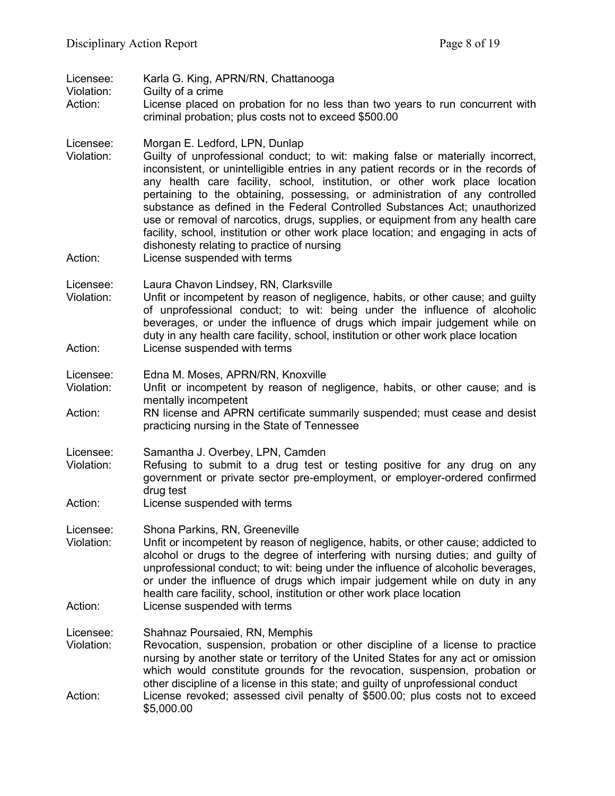| Licensee:<br>Violation:<br>Action: | Karla G. King, APRN/RN, Chattanooga<br>Guilty of a crime                                                                                                                                                                                                                                                                                                                                                                                                                                                                                                                                                                                                                                                       |
|------------------------------------|----------------------------------------------------------------------------------------------------------------------------------------------------------------------------------------------------------------------------------------------------------------------------------------------------------------------------------------------------------------------------------------------------------------------------------------------------------------------------------------------------------------------------------------------------------------------------------------------------------------------------------------------------------------------------------------------------------------|
|                                    | License placed on probation for no less than two years to run concurrent with<br>criminal probation; plus costs not to exceed \$500.00                                                                                                                                                                                                                                                                                                                                                                                                                                                                                                                                                                         |
| Licensee:<br>Violation:<br>Action: | Morgan E. Ledford, LPN, Dunlap<br>Guilty of unprofessional conduct; to wit: making false or materially incorrect,<br>inconsistent, or unintelligible entries in any patient records or in the records of<br>any health care facility, school, institution, or other work place location<br>pertaining to the obtaining, possessing, or administration of any controlled<br>substance as defined in the Federal Controlled Substances Act; unauthorized<br>use or removal of narcotics, drugs, supplies, or equipment from any health care<br>facility, school, institution or other work place location; and engaging in acts of<br>dishonesty relating to practice of nursing<br>License suspended with terms |
| Licensee:<br>Violation:            | Laura Chavon Lindsey, RN, Clarksville<br>Unfit or incompetent by reason of negligence, habits, or other cause; and guilty<br>of unprofessional conduct; to wit: being under the influence of alcoholic<br>beverages, or under the influence of drugs which impair judgement while on<br>duty in any health care facility, school, institution or other work place location                                                                                                                                                                                                                                                                                                                                     |
| Action:                            | License suspended with terms                                                                                                                                                                                                                                                                                                                                                                                                                                                                                                                                                                                                                                                                                   |
| Licensee:<br>Violation:            | Edna M. Moses, APRN/RN, Knoxville<br>Unfit or incompetent by reason of negligence, habits, or other cause; and is<br>mentally incompetent                                                                                                                                                                                                                                                                                                                                                                                                                                                                                                                                                                      |
| Action:                            | RN license and APRN certificate summarily suspended; must cease and desist<br>practicing nursing in the State of Tennessee                                                                                                                                                                                                                                                                                                                                                                                                                                                                                                                                                                                     |
| Licensee:<br>Violation:            | Samantha J. Overbey, LPN, Camden<br>Refusing to submit to a drug test or testing positive for any drug on any<br>government or private sector pre-employment, or employer-ordered confirmed<br>drug test                                                                                                                                                                                                                                                                                                                                                                                                                                                                                                       |
| Action:                            | License suspended with terms                                                                                                                                                                                                                                                                                                                                                                                                                                                                                                                                                                                                                                                                                   |
| Licensee:<br>Violation:            | Shona Parkins, RN, Greeneville<br>Unfit or incompetent by reason of negligence, habits, or other cause; addicted to<br>alcohol or drugs to the degree of interfering with nursing duties; and quilty of<br>unprofessional conduct; to wit: being under the influence of alcoholic beverages,<br>or under the influence of drugs which impair judgement while on duty in any<br>health care facility, school, institution or other work place location                                                                                                                                                                                                                                                          |
| Action:                            | License suspended with terms                                                                                                                                                                                                                                                                                                                                                                                                                                                                                                                                                                                                                                                                                   |
| Licensee:<br>Violation:            | Shahnaz Poursaied, RN, Memphis<br>Revocation, suspension, probation or other discipline of a license to practice<br>nursing by another state or territory of the United States for any act or omission<br>which would constitute grounds for the revocation, suspension, probation or<br>other discipline of a license in this state; and guilty of unprofessional conduct                                                                                                                                                                                                                                                                                                                                     |
| Action:                            | License revoked; assessed civil penalty of \$500.00; plus costs not to exceed<br>\$5,000.00                                                                                                                                                                                                                                                                                                                                                                                                                                                                                                                                                                                                                    |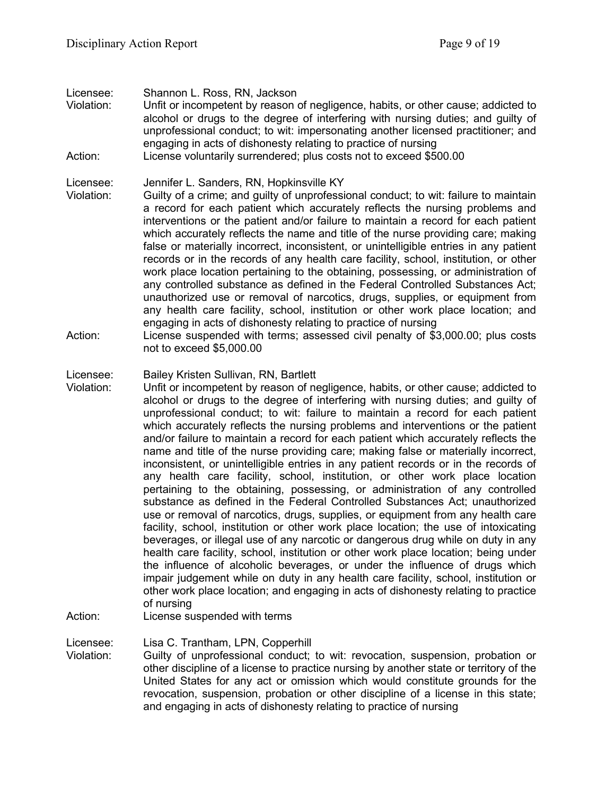Licensee: Shannon L. Ross, RN, Jackson Violation: Unfit or incompetent by reason of negligence, habits, or other cause; addicted to alcohol or drugs to the degree of interfering with nursing duties; and guilty of

unprofessional conduct; to wit: impersonating another licensed practitioner; and engaging in acts of dishonesty relating to practice of nursing

Action: License voluntarily surrendered; plus costs not to exceed \$500.00

Licensee: Jennifer L. Sanders, RN, Hopkinsville KY

- Violation: Guilty of a crime; and guilty of unprofessional conduct; to wit: failure to maintain a record for each patient which accurately reflects the nursing problems and interventions or the patient and/or failure to maintain a record for each patient which accurately reflects the name and title of the nurse providing care; making false or materially incorrect, inconsistent, or unintelligible entries in any patient records or in the records of any health care facility, school, institution, or other work place location pertaining to the obtaining, possessing, or administration of any controlled substance as defined in the Federal Controlled Substances Act; unauthorized use or removal of narcotics, drugs, supplies, or equipment from any health care facility, school, institution or other work place location; and engaging in acts of dishonesty relating to practice of nursing
- Action: License suspended with terms; assessed civil penalty of \$3,000.00; plus costs not to exceed \$5,000.00

#### Licensee: Bailey Kristen Sullivan, RN, Bartlett

- Violation: Unfit or incompetent by reason of negligence, habits, or other cause; addicted to alcohol or drugs to the degree of interfering with nursing duties; and guilty of unprofessional conduct; to wit: failure to maintain a record for each patient which accurately reflects the nursing problems and interventions or the patient and/or failure to maintain a record for each patient which accurately reflects the name and title of the nurse providing care; making false or materially incorrect, inconsistent, or unintelligible entries in any patient records or in the records of any health care facility, school, institution, or other work place location pertaining to the obtaining, possessing, or administration of any controlled substance as defined in the Federal Controlled Substances Act; unauthorized use or removal of narcotics, drugs, supplies, or equipment from any health care facility, school, institution or other work place location; the use of intoxicating beverages, or illegal use of any narcotic or dangerous drug while on duty in any health care facility, school, institution or other work place location; being under the influence of alcoholic beverages, or under the influence of drugs which impair judgement while on duty in any health care facility, school, institution or other work place location; and engaging in acts of dishonesty relating to practice of nursing
- Action: License suspended with terms

Licensee: Lisa C. Trantham, LPN, Copperhill

Violation: Guilty of unprofessional conduct; to wit: revocation, suspension, probation or other discipline of a license to practice nursing by another state or territory of the United States for any act or omission which would constitute grounds for the revocation, suspension, probation or other discipline of a license in this state; and engaging in acts of dishonesty relating to practice of nursing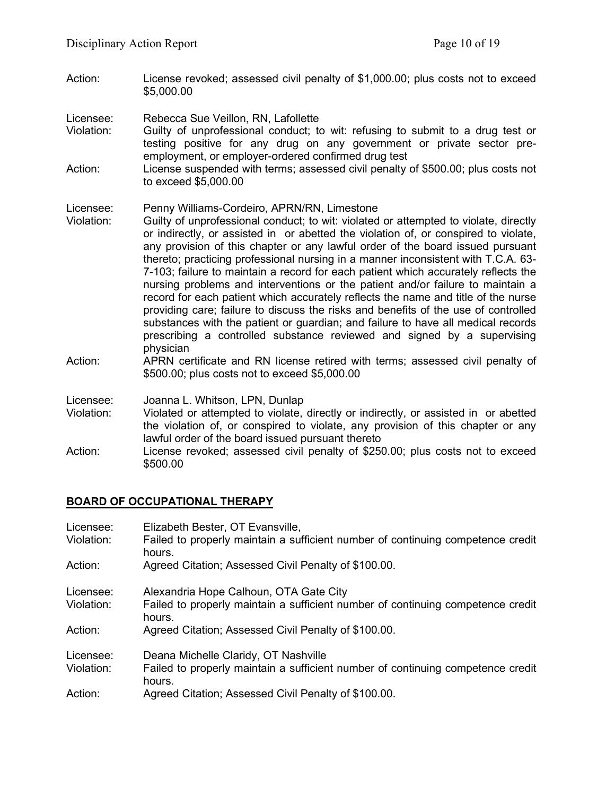Action: License revoked; assessed civil penalty of \$1,000.00; plus costs not to exceed \$5,000.00

Licensee: Rebecca Sue Veillon, RN, Lafollette<br>Violation: Guilty of unprofessional conduct; to

- Guilty of unprofessional conduct; to wit: refusing to submit to a drug test or testing positive for any drug on any government or private sector preemployment, or employer-ordered confirmed drug test
- Action: License suspended with terms; assessed civil penalty of \$500.00; plus costs not to exceed \$5,000.00

#### Licensee: Penny Williams-Cordeiro, APRN/RN, Limestone

- Violation: Guilty of unprofessional conduct; to wit: violated or attempted to violate, directly or indirectly, or assisted in or abetted the violation of, or conspired to violate, any provision of this chapter or any lawful order of the board issued pursuant thereto; practicing professional nursing in a manner inconsistent with T.C.A. 63- 7-103; failure to maintain a record for each patient which accurately reflects the nursing problems and interventions or the patient and/or failure to maintain a record for each patient which accurately reflects the name and title of the nurse providing care; failure to discuss the risks and benefits of the use of controlled substances with the patient or guardian; and failure to have all medical records prescribing a controlled substance reviewed and signed by a supervising physician
- Action: APRN certificate and RN license retired with terms; assessed civil penalty of \$500.00; plus costs not to exceed \$5,000.00
- Licensee: Joanna L. Whitson, LPN, Dunlap
- Violation: Violated or attempted to violate, directly or indirectly, or assisted in or abetted the violation of, or conspired to violate, any provision of this chapter or any lawful order of the board issued pursuant thereto
- Action: License revoked; assessed civil penalty of \$250.00; plus costs not to exceed \$500.00

## **BOARD OF OCCUPATIONAL THERAPY**

| Licensee:  | Elizabeth Bester, OT Evansville,                                                          |
|------------|-------------------------------------------------------------------------------------------|
| Violation: | Failed to properly maintain a sufficient number of continuing competence credit<br>hours. |
| Action:    | Agreed Citation; Assessed Civil Penalty of \$100.00.                                      |
| Licensee:  | Alexandria Hope Calhoun, OTA Gate City                                                    |
| Violation: | Failed to properly maintain a sufficient number of continuing competence credit<br>hours. |
| Action:    | Agreed Citation; Assessed Civil Penalty of \$100.00.                                      |
| Licensee:  | Deana Michelle Claridy, OT Nashville                                                      |
| Violation: | Failed to properly maintain a sufficient number of continuing competence credit<br>hours. |
| Action:    | Agreed Citation; Assessed Civil Penalty of \$100.00.                                      |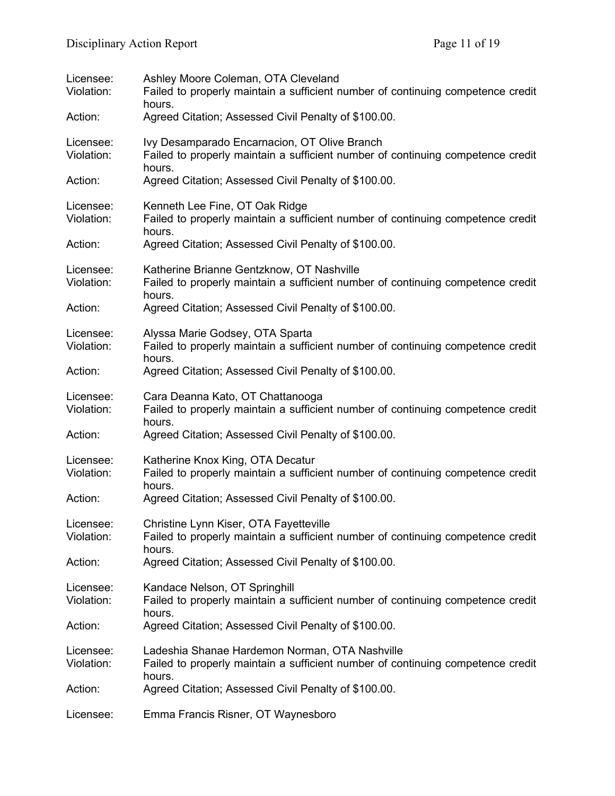| Licensee:<br>Violation: | Ashley Moore Coleman, OTA Cleveland<br>Failed to properly maintain a sufficient number of continuing competence credit<br>hours.            |
|-------------------------|---------------------------------------------------------------------------------------------------------------------------------------------|
| Action:                 | Agreed Citation; Assessed Civil Penalty of \$100.00.                                                                                        |
| Licensee:<br>Violation: | Ivy Desamparado Encarnacion, OT Olive Branch<br>Failed to properly maintain a sufficient number of continuing competence credit<br>hours.   |
| Action:                 | Agreed Citation; Assessed Civil Penalty of \$100.00.                                                                                        |
| Licensee:<br>Violation: | Kenneth Lee Fine, OT Oak Ridge<br>Failed to properly maintain a sufficient number of continuing competence credit<br>hours.                 |
| Action:                 | Agreed Citation; Assessed Civil Penalty of \$100.00.                                                                                        |
| Licensee:<br>Violation: | Katherine Brianne Gentzknow, OT Nashville<br>Failed to properly maintain a sufficient number of continuing competence credit<br>hours.      |
| Action:                 | Agreed Citation; Assessed Civil Penalty of \$100.00.                                                                                        |
| Licensee:<br>Violation: | Alyssa Marie Godsey, OTA Sparta<br>Failed to properly maintain a sufficient number of continuing competence credit<br>hours.                |
| Action:                 | Agreed Citation; Assessed Civil Penalty of \$100.00.                                                                                        |
| Licensee:<br>Violation: | Cara Deanna Kato, OT Chattanooga<br>Failed to properly maintain a sufficient number of continuing competence credit<br>hours.               |
| Action:                 | Agreed Citation; Assessed Civil Penalty of \$100.00.                                                                                        |
| Licensee:<br>Violation: | Katherine Knox King, OTA Decatur<br>Failed to properly maintain a sufficient number of continuing competence credit<br>hours.               |
| Action:                 | Agreed Citation; Assessed Civil Penalty of \$100.00.                                                                                        |
| Licensee:<br>Violation: | Christine Lynn Kiser, OTA Fayetteville<br>Failed to properly maintain a sufficient number of continuing competence credit<br>hours.         |
| Action:                 | Agreed Citation; Assessed Civil Penalty of \$100.00.                                                                                        |
| Licensee:<br>Violation: | Kandace Nelson, OT Springhill<br>Failed to properly maintain a sufficient number of continuing competence credit<br>hours.                  |
| Action:                 | Agreed Citation; Assessed Civil Penalty of \$100.00.                                                                                        |
| Licensee:<br>Violation: | Ladeshia Shanae Hardemon Norman, OTA Nashville<br>Failed to properly maintain a sufficient number of continuing competence credit<br>hours. |
| Action:                 | Agreed Citation; Assessed Civil Penalty of \$100.00.                                                                                        |
| Licensee:               | Emma Francis Risner, OT Waynesboro                                                                                                          |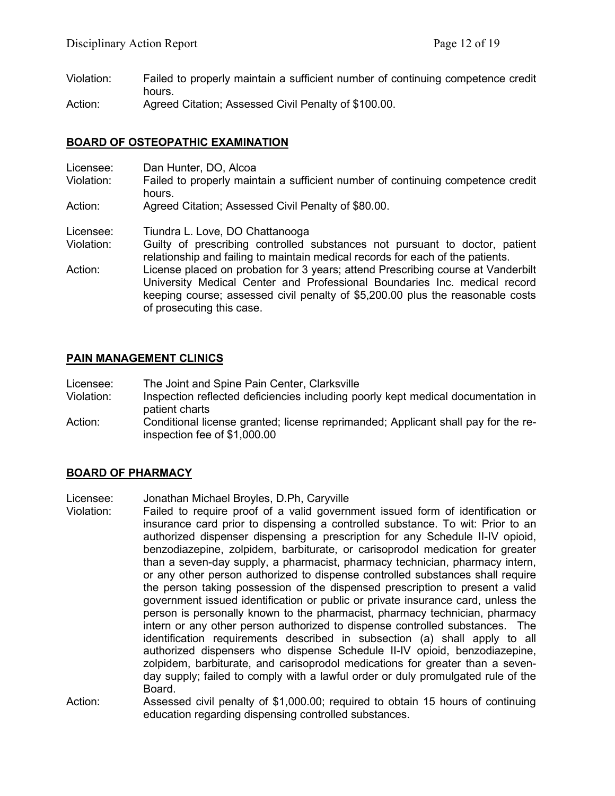- Violation: Failed to properly maintain a sufficient number of continuing competence credit hours.
- Action: Agreed Citation; Assessed Civil Penalty of \$100.00.

## **BOARD OF OSTEOPATHIC EXAMINATION**

| Licensee:<br>Violation: | Dan Hunter, DO, Alcoa<br>Failed to properly maintain a sufficient number of continuing competence credit<br>hours.                                                                                                                                                           |
|-------------------------|------------------------------------------------------------------------------------------------------------------------------------------------------------------------------------------------------------------------------------------------------------------------------|
| Action:                 | Agreed Citation; Assessed Civil Penalty of \$80.00.                                                                                                                                                                                                                          |
| Licensee:               | Tiundra L. Love, DO Chattanooga                                                                                                                                                                                                                                              |
| Violation:              | Guilty of prescribing controlled substances not pursuant to doctor, patient<br>relationship and failing to maintain medical records for each of the patients.                                                                                                                |
| Action:                 | License placed on probation for 3 years; attend Prescribing course at Vanderbilt<br>University Medical Center and Professional Boundaries Inc. medical record<br>keeping course; assessed civil penalty of \$5,200.00 plus the reasonable costs<br>of prosecuting this case. |

# **PAIN MANAGEMENT CLINICS**

- Licensee: The Joint and Spine Pain Center, Clarksville
- Violation: Inspection reflected deficiencies including poorly kept medical documentation in patient charts
- Action: Conditional license granted; license reprimanded; Applicant shall pay for the reinspection fee of \$1,000.00

## **BOARD OF PHARMACY**

- Licensee: Jonathan Michael Broyles, D.Ph, Caryville
- Violation: Failed to require proof of a valid government issued form of identification or insurance card prior to dispensing a controlled substance. To wit: Prior to an authorized dispenser dispensing a prescription for any Schedule II-IV opioid, benzodiazepine, zolpidem, barbiturate, or carisoprodol medication for greater than a seven-day supply, a pharmacist, pharmacy technician, pharmacy intern, or any other person authorized to dispense controlled substances shall require the person taking possession of the dispensed prescription to present a valid government issued identification or public or private insurance card, unless the person is personally known to the pharmacist, pharmacy technician, pharmacy intern or any other person authorized to dispense controlled substances. The identification requirements described in subsection (a) shall apply to all authorized dispensers who dispense Schedule II-IV opioid, benzodiazepine, zolpidem, barbiturate, and carisoprodol medications for greater than a sevenday supply; failed to comply with a lawful order or duly promulgated rule of the Board.
- Action: Assessed civil penalty of \$1,000.00; required to obtain 15 hours of continuing education regarding dispensing controlled substances.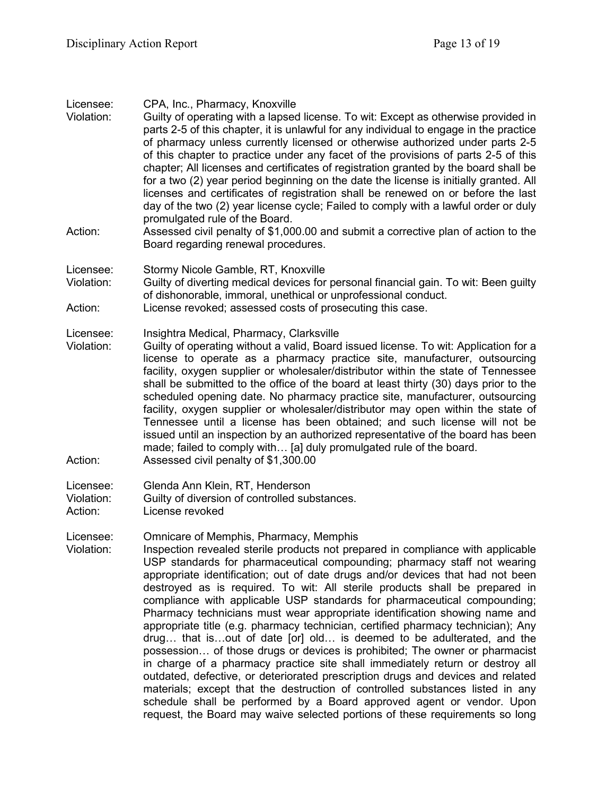| Licensee:<br>Violation:<br>Action: | CPA, Inc., Pharmacy, Knoxville<br>Guilty of operating with a lapsed license. To wit: Except as otherwise provided in<br>parts 2-5 of this chapter, it is unlawful for any individual to engage in the practice<br>of pharmacy unless currently licensed or otherwise authorized under parts 2-5<br>of this chapter to practice under any facet of the provisions of parts 2-5 of this<br>chapter; All licenses and certificates of registration granted by the board shall be<br>for a two (2) year period beginning on the date the license is initially granted. All<br>licenses and certificates of registration shall be renewed on or before the last<br>day of the two (2) year license cycle; Failed to comply with a lawful order or duly<br>promulgated rule of the Board.<br>Assessed civil penalty of \$1,000.00 and submit a corrective plan of action to the<br>Board regarding renewal procedures.                                                                                                                                                                                           |
|------------------------------------|------------------------------------------------------------------------------------------------------------------------------------------------------------------------------------------------------------------------------------------------------------------------------------------------------------------------------------------------------------------------------------------------------------------------------------------------------------------------------------------------------------------------------------------------------------------------------------------------------------------------------------------------------------------------------------------------------------------------------------------------------------------------------------------------------------------------------------------------------------------------------------------------------------------------------------------------------------------------------------------------------------------------------------------------------------------------------------------------------------|
| Licensee:<br>Violation:            | Stormy Nicole Gamble, RT, Knoxville<br>Guilty of diverting medical devices for personal financial gain. To wit: Been guilty<br>of dishonorable, immoral, unethical or unprofessional conduct.                                                                                                                                                                                                                                                                                                                                                                                                                                                                                                                                                                                                                                                                                                                                                                                                                                                                                                              |
| Action:                            | License revoked; assessed costs of prosecuting this case.                                                                                                                                                                                                                                                                                                                                                                                                                                                                                                                                                                                                                                                                                                                                                                                                                                                                                                                                                                                                                                                  |
| Licensee:<br>Violation:<br>Action: | Insightra Medical, Pharmacy, Clarksville<br>Guilty of operating without a valid, Board issued license. To wit: Application for a<br>license to operate as a pharmacy practice site, manufacturer, outsourcing<br>facility, oxygen supplier or wholesaler/distributor within the state of Tennessee<br>shall be submitted to the office of the board at least thirty (30) days prior to the<br>scheduled opening date. No pharmacy practice site, manufacturer, outsourcing<br>facility, oxygen supplier or wholesaler/distributor may open within the state of<br>Tennessee until a license has been obtained; and such license will not be<br>issued until an inspection by an authorized representative of the board has been<br>made; failed to comply with [a] duly promulgated rule of the board.<br>Assessed civil penalty of \$1,300.00                                                                                                                                                                                                                                                             |
| Licensee:<br>Violation:<br>Action: | Glenda Ann Klein, RT, Henderson<br>Guilty of diversion of controlled substances.<br>License revoked                                                                                                                                                                                                                                                                                                                                                                                                                                                                                                                                                                                                                                                                                                                                                                                                                                                                                                                                                                                                        |
| Licensee:<br>Violation:            | Omnicare of Memphis, Pharmacy, Memphis<br>Inspection revealed sterile products not prepared in compliance with applicable<br>USP standards for pharmaceutical compounding; pharmacy staff not wearing<br>appropriate identification; out of date drugs and/or devices that had not been<br>destroyed as is required. To wit: All sterile products shall be prepared in<br>compliance with applicable USP standards for pharmaceutical compounding;<br>Pharmacy technicians must wear appropriate identification showing name and<br>appropriate title (e.g. pharmacy technician, certified pharmacy technician); Any<br>drug that isout of date [or] old is deemed to be adulterated, and the<br>possession of those drugs or devices is prohibited; The owner or pharmacist<br>in charge of a pharmacy practice site shall immediately return or destroy all<br>outdated, defective, or deteriorated prescription drugs and devices and related<br>materials; except that the destruction of controlled substances listed in any<br>schedule shall be performed by a Board approved agent or vendor. Upon |

request, the Board may waive selected portions of these requirements so long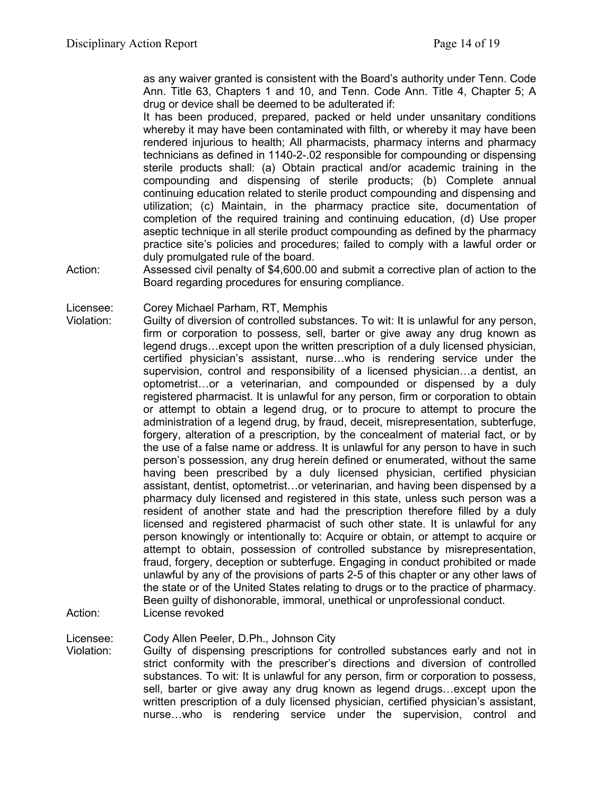as any waiver granted is consistent with the Board's authority under Tenn. Code Ann. Title 63, Chapters 1 and 10, and Tenn. Code Ann. Title 4, Chapter 5; A drug or device shall be deemed to be adulterated if:

It has been produced, prepared, packed or held under unsanitary conditions whereby it may have been contaminated with filth, or whereby it may have been rendered injurious to health; All pharmacists, pharmacy interns and pharmacy technicians as defined in 1140-2-.02 responsible for compounding or dispensing sterile products shall: (a) Obtain practical and/or academic training in the compounding and dispensing of sterile products; (b) Complete annual continuing education related to sterile product compounding and dispensing and utilization; (c) Maintain, in the pharmacy practice site, documentation of completion of the required training and continuing education, (d) Use proper aseptic technique in all sterile product compounding as defined by the pharmacy practice site's policies and procedures; failed to comply with a lawful order or duly promulgated rule of the board.

Action: Assessed civil penalty of \$4,600.00 and submit a corrective plan of action to the Board regarding procedures for ensuring compliance.

Licensee: Corey Michael Parham, RT, Memphis

Violation: Guilty of diversion of controlled substances. To wit: It is unlawful for any person, firm or corporation to possess, sell, barter or give away any drug known as legend drugs…except upon the written prescription of a duly licensed physician, certified physician's assistant, nurse…who is rendering service under the supervision, control and responsibility of a licensed physician…a dentist, an optometrist…or a veterinarian, and compounded or dispensed by a duly registered pharmacist. It is unlawful for any person, firm or corporation to obtain or attempt to obtain a legend drug, or to procure to attempt to procure the administration of a legend drug, by fraud, deceit, misrepresentation, subterfuge, forgery, alteration of a prescription, by the concealment of material fact, or by the use of a false name or address. It is unlawful for any person to have in such person's possession, any drug herein defined or enumerated, without the same having been prescribed by a duly licensed physician, certified physician assistant, dentist, optometrist…or veterinarian, and having been dispensed by a pharmacy duly licensed and registered in this state, unless such person was a resident of another state and had the prescription therefore filled by a duly licensed and registered pharmacist of such other state. It is unlawful for any person knowingly or intentionally to: Acquire or obtain, or attempt to acquire or attempt to obtain, possession of controlled substance by misrepresentation, fraud, forgery, deception or subterfuge. Engaging in conduct prohibited or made unlawful by any of the provisions of parts 2-5 of this chapter or any other laws of the state or of the United States relating to drugs or to the practice of pharmacy. Been guilty of dishonorable, immoral, unethical or unprofessional conduct. Action: License revoked

Licensee: Cody Allen Peeler, D.Ph., Johnson City

Violation: Guilty of dispensing prescriptions for controlled substances early and not in strict conformity with the prescriber's directions and diversion of controlled substances. To wit: It is unlawful for any person, firm or corporation to possess, sell, barter or give away any drug known as legend drugs…except upon the written prescription of a duly licensed physician, certified physician's assistant, nurse…who is rendering service under the supervision, control and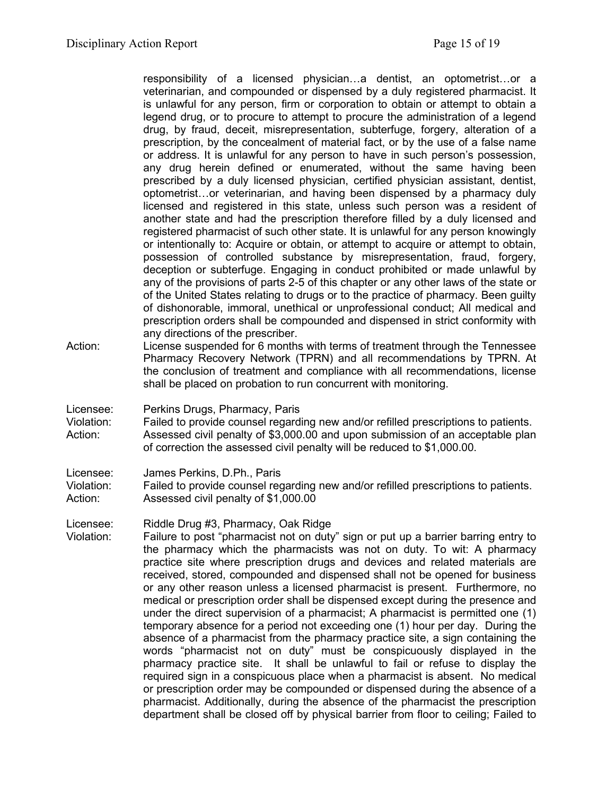responsibility of a licensed physician…a dentist, an optometrist…or a veterinarian, and compounded or dispensed by a duly registered pharmacist. It is unlawful for any person, firm or corporation to obtain or attempt to obtain a legend drug, or to procure to attempt to procure the administration of a legend drug, by fraud, deceit, misrepresentation, subterfuge, forgery, alteration of a prescription, by the concealment of material fact, or by the use of a false name or address. It is unlawful for any person to have in such person's possession, any drug herein defined or enumerated, without the same having been prescribed by a duly licensed physician, certified physician assistant, dentist, optometrist…or veterinarian, and having been dispensed by a pharmacy duly licensed and registered in this state, unless such person was a resident of another state and had the prescription therefore filled by a duly licensed and registered pharmacist of such other state. It is unlawful for any person knowingly or intentionally to: Acquire or obtain, or attempt to acquire or attempt to obtain, possession of controlled substance by misrepresentation, fraud, forgery, deception or subterfuge. Engaging in conduct prohibited or made unlawful by any of the provisions of parts 2-5 of this chapter or any other laws of the state or of the United States relating to drugs or to the practice of pharmacy. Been guilty of dishonorable, immoral, unethical or unprofessional conduct; All medical and prescription orders shall be compounded and dispensed in strict conformity with any directions of the prescriber.

- Action: License suspended for 6 months with terms of treatment through the Tennessee Pharmacy Recovery Network (TPRN) and all recommendations by TPRN. At the conclusion of treatment and compliance with all recommendations, license shall be placed on probation to run concurrent with monitoring.
- Licensee: Perkins Drugs, Pharmacy, Paris

Violation: Failed to provide counsel regarding new and/or refilled prescriptions to patients. Action: Assessed civil penalty of \$3,000.00 and upon submission of an acceptable plan of correction the assessed civil penalty will be reduced to \$1,000.00.

Licensee: James Perkins, D.Ph., Paris

Violation: Failed to provide counsel regarding new and/or refilled prescriptions to patients. Action: Assessed civil penalty of \$1,000.00

Licensee: Riddle Drug #3, Pharmacy, Oak Ridge

Violation: Failure to post "pharmacist not on duty" sign or put up a barrier barring entry to the pharmacy which the pharmacists was not on duty. To wit: A pharmacy practice site where prescription drugs and devices and related materials are received, stored, compounded and dispensed shall not be opened for business or any other reason unless a licensed pharmacist is present. Furthermore, no medical or prescription order shall be dispensed except during the presence and under the direct supervision of a pharmacist; A pharmacist is permitted one (1) temporary absence for a period not exceeding one (1) hour per day. During the absence of a pharmacist from the pharmacy practice site, a sign containing the words "pharmacist not on duty" must be conspicuously displayed in the pharmacy practice site. It shall be unlawful to fail or refuse to display the required sign in a conspicuous place when a pharmacist is absent. No medical or prescription order may be compounded or dispensed during the absence of a pharmacist. Additionally, during the absence of the pharmacist the prescription department shall be closed off by physical barrier from floor to ceiling; Failed to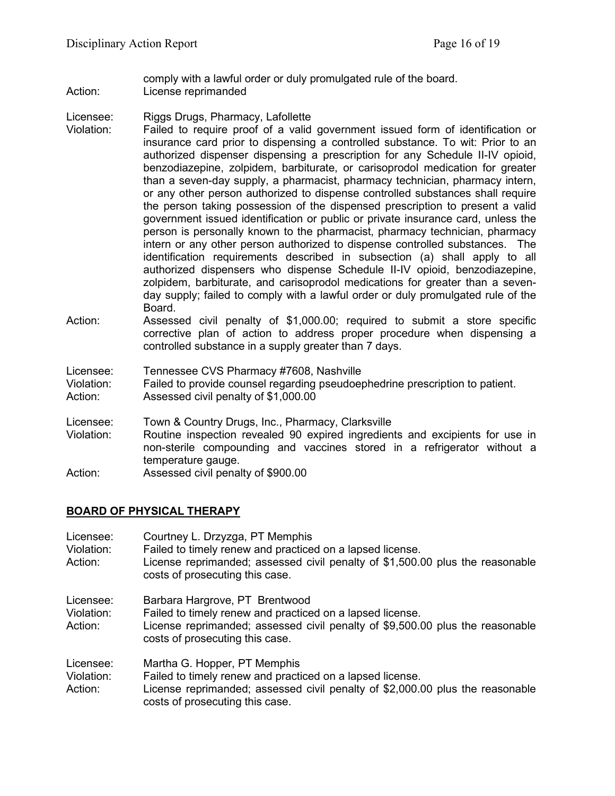comply with a lawful order or duly promulgated rule of the board. Action: License reprimanded

Licensee: Riggs Drugs, Pharmacy, Lafollette

- Violation: Failed to require proof of a valid government issued form of identification or insurance card prior to dispensing a controlled substance. To wit: Prior to an authorized dispenser dispensing a prescription for any Schedule II-IV opioid, benzodiazepine, zolpidem, barbiturate, or carisoprodol medication for greater than a seven-day supply, a pharmacist, pharmacy technician, pharmacy intern, or any other person authorized to dispense controlled substances shall require the person taking possession of the dispensed prescription to present a valid government issued identification or public or private insurance card, unless the person is personally known to the pharmacist, pharmacy technician, pharmacy intern or any other person authorized to dispense controlled substances. The identification requirements described in subsection (a) shall apply to all authorized dispensers who dispense Schedule II-IV opioid, benzodiazepine, zolpidem, barbiturate, and carisoprodol medications for greater than a sevenday supply; failed to comply with a lawful order or duly promulgated rule of the Board.
- Action: Assessed civil penalty of \$1,000.00; required to submit a store specific corrective plan of action to address proper procedure when dispensing a controlled substance in a supply greater than 7 days.

Licensee: Tennessee CVS Pharmacy #7608, Nashville

Violation: Failed to provide counsel regarding pseudoephedrine prescription to patient.

Action: Assessed civil penalty of \$1,000.00

Licensee: Town & Country Drugs, Inc., Pharmacy, Clarksville

- Violation: Routine inspection revealed 90 expired ingredients and excipients for use in non-sterile compounding and vaccines stored in a refrigerator without a temperature gauge.
- Action: Assessed civil penalty of \$900.00

# **BOARD OF PHYSICAL THERAPY**

| Licensee:<br>Violation:<br>Action: | Courtney L. Drzyzga, PT Memphis<br>Failed to timely renew and practiced on a lapsed license.<br>License reprimanded; assessed civil penalty of \$1,500.00 plus the reasonable<br>costs of prosecuting this case. |
|------------------------------------|------------------------------------------------------------------------------------------------------------------------------------------------------------------------------------------------------------------|
| Licensee:<br>Violation:<br>Action: | Barbara Hargrove, PT Brentwood<br>Failed to timely renew and practiced on a lapsed license.<br>License reprimanded; assessed civil penalty of \$9,500.00 plus the reasonable<br>costs of prosecuting this case.  |
| Licensee:<br>Violation:<br>Action: | Martha G. Hopper, PT Memphis<br>Failed to timely renew and practiced on a lapsed license.<br>License reprimanded; assessed civil penalty of \$2,000.00 plus the reasonable<br>costs of prosecuting this case.    |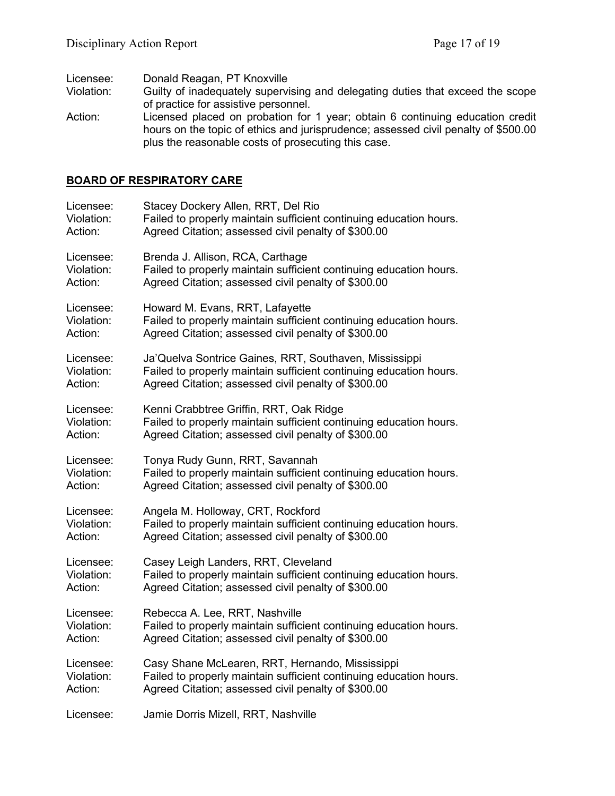Licensee: Donald Reagan, PT Knoxville<br>Violation: Guilty of inadequately supervi

- Guilty of inadequately supervising and delegating duties that exceed the scope of practice for assistive personnel.
- Action: Licensed placed on probation for 1 year; obtain 6 continuing education credit hours on the topic of ethics and jurisprudence; assessed civil penalty of \$500.00 plus the reasonable costs of prosecuting this case.

## **BOARD OF RESPIRATORY CARE**

| Licensee:  | Stacey Dockery Allen, RRT, Del Rio                                 |
|------------|--------------------------------------------------------------------|
| Violation: | Failed to properly maintain sufficient continuing education hours. |
| Action:    | Agreed Citation; assessed civil penalty of \$300.00                |
| Licensee:  | Brenda J. Allison, RCA, Carthage                                   |
| Violation: | Failed to properly maintain sufficient continuing education hours. |
| Action:    | Agreed Citation; assessed civil penalty of \$300.00                |
| Licensee:  | Howard M. Evans, RRT, Lafayette                                    |
| Violation: | Failed to properly maintain sufficient continuing education hours. |
| Action:    | Agreed Citation; assessed civil penalty of \$300.00                |
| Licensee:  | Ja'Quelva Sontrice Gaines, RRT, Southaven, Mississippi             |
| Violation: | Failed to properly maintain sufficient continuing education hours. |
| Action:    | Agreed Citation; assessed civil penalty of \$300.00                |
| Licensee:  | Kenni Crabbtree Griffin, RRT, Oak Ridge                            |
| Violation: | Failed to properly maintain sufficient continuing education hours. |
| Action:    | Agreed Citation; assessed civil penalty of \$300.00                |
| Licensee:  | Tonya Rudy Gunn, RRT, Savannah                                     |
| Violation: | Failed to properly maintain sufficient continuing education hours. |
| Action:    | Agreed Citation; assessed civil penalty of \$300.00                |
| Licensee:  | Angela M. Holloway, CRT, Rockford                                  |
| Violation: | Failed to properly maintain sufficient continuing education hours. |
| Action:    | Agreed Citation; assessed civil penalty of \$300.00                |
| Licensee:  | Casey Leigh Landers, RRT, Cleveland                                |
| Violation: | Failed to properly maintain sufficient continuing education hours. |
| Action:    | Agreed Citation; assessed civil penalty of \$300.00                |
| Licensee:  | Rebecca A. Lee, RRT, Nashville                                     |
| Violation: | Failed to properly maintain sufficient continuing education hours. |
| Action:    | Agreed Citation; assessed civil penalty of \$300.00                |
| Licensee:  | Casy Shane McLearen, RRT, Hernando, Mississippi                    |
| Violation: | Failed to properly maintain sufficient continuing education hours. |
| Action:    | Agreed Citation; assessed civil penalty of \$300.00                |
| Licensee:  | Jamie Dorris Mizell, RRT, Nashville                                |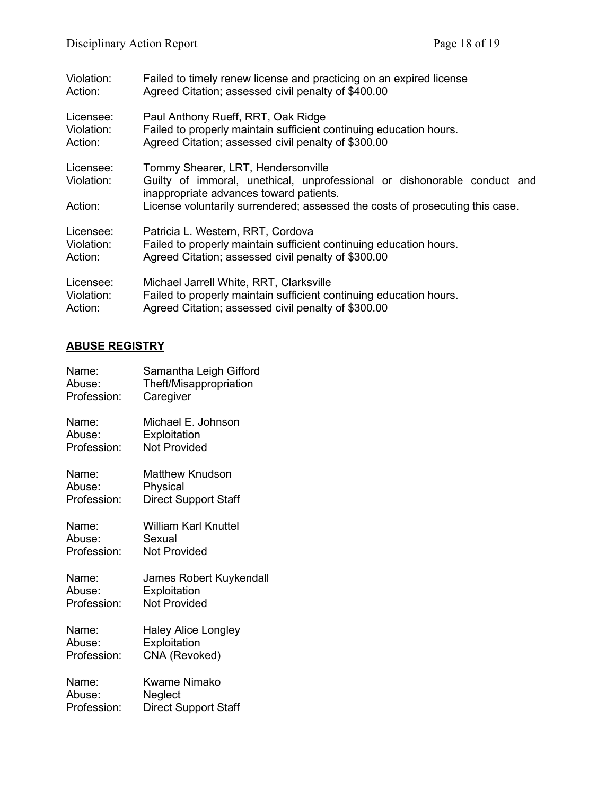| Violation:                         | Failed to timely renew license and practicing on an expired license                                                                                                                                                                        |
|------------------------------------|--------------------------------------------------------------------------------------------------------------------------------------------------------------------------------------------------------------------------------------------|
| Action:                            | Agreed Citation; assessed civil penalty of \$400.00                                                                                                                                                                                        |
| Licensee:                          | Paul Anthony Rueff, RRT, Oak Ridge                                                                                                                                                                                                         |
| Violation:                         | Failed to properly maintain sufficient continuing education hours.                                                                                                                                                                         |
| Action:                            | Agreed Citation; assessed civil penalty of \$300.00                                                                                                                                                                                        |
| Licensee:<br>Violation:<br>Action: | Tommy Shearer, LRT, Hendersonville<br>Guilty of immoral, unethical, unprofessional or dishonorable conduct and<br>inappropriate advances toward patients.<br>License voluntarily surrendered; assessed the costs of prosecuting this case. |
| Licensee:                          | Patricia L. Western, RRT, Cordova                                                                                                                                                                                                          |
| Violation:                         | Failed to properly maintain sufficient continuing education hours.                                                                                                                                                                         |
| Action:                            | Agreed Citation; assessed civil penalty of \$300.00                                                                                                                                                                                        |
| Licensee:                          | Michael Jarrell White, RRT, Clarksville                                                                                                                                                                                                    |
| Violation:                         | Failed to properly maintain sufficient continuing education hours.                                                                                                                                                                         |
| Action:                            | Agreed Citation; assessed civil penalty of \$300.00                                                                                                                                                                                        |

# **ABUSE REGISTRY**

| Name:       | Samantha Leigh Gifford      |
|-------------|-----------------------------|
| Abuse:      | Theft/Misappropriation      |
| Profession: | Caregiver                   |
| Name:       | Michael E. Johnson          |
| Abuse:      | Exploitation                |
| Profession: | <b>Not Provided</b>         |
| Name:       | Matthew Knudson             |
| Abuse:      | Physical                    |
| Profession: | <b>Direct Support Staff</b> |
| Name:       | William Karl Knuttel        |
| Abuse:      | Sexual                      |
| Profession: | <b>Not Provided</b>         |
| Name:       | James Robert Kuykendall     |
| Abuse:      | Exploitation                |
| Profession: | <b>Not Provided</b>         |
| Name:       | <b>Haley Alice Longley</b>  |
| Abuse:      | Exploitation                |
| Profession: | CNA (Revoked)               |
| Name:       | <b>Kwame Nimako</b>         |
| Abuse:      | Neglect                     |
| Profession: | <b>Direct Support Staff</b> |